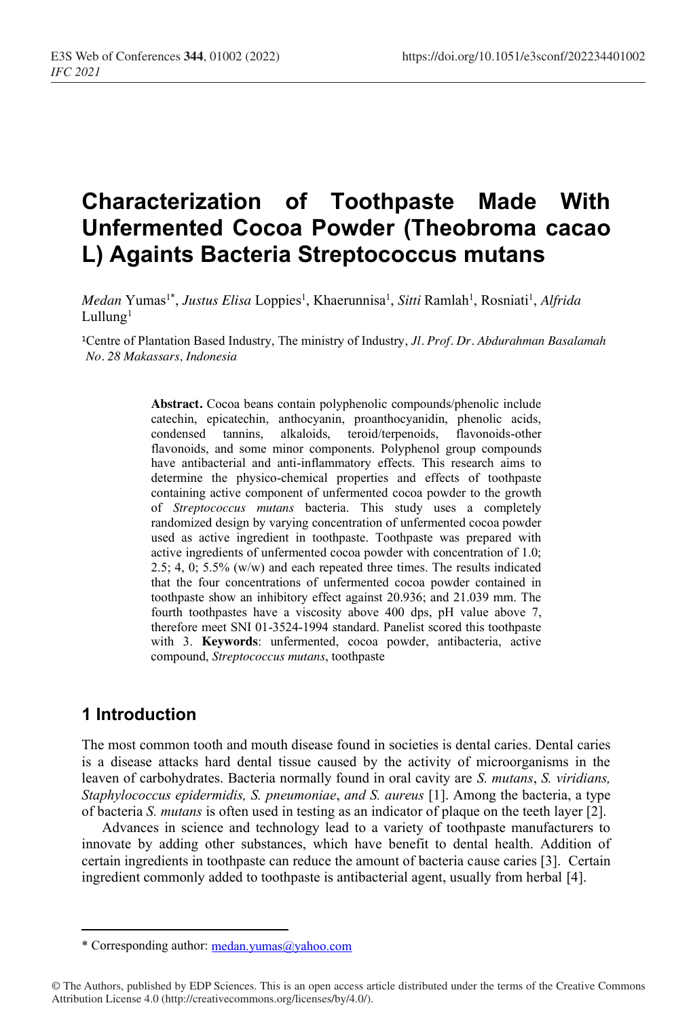# **Characterization of Toothpaste Made With Unfermented Cocoa Powder (Theobroma cacao L) Againts Bacteria Streptococcus mutans**

*Medan Yumas<sup>1\*</sup>, Justus Elisa Loppies<sup>1</sup>, Khaerunnisa<sup>1</sup>, <i>Sitti Ramlah<sup>1</sup>, Rosniati<sup>1</sup>, Alfrida*  $Lullung<sup>1</sup>$ 

<sup>1</sup>Centre of Plantation Based Industry, The ministry of Industry, *Jl. Prof. Dr. Abdurahman Basalamah No. 28 Makassars, Indonesia*

> **Abstract.** Cocoa beans contain polyphenolic compounds/phenolic include catechin, epicatechin, anthocyanin, proanthocyanidin, phenolic acids, condensed tannins, alkaloids, teroid/terpenoids, flavonoids-other flavonoids, and some minor components. Polyphenol group compounds have antibacterial and anti-inflammatory effects. This research aims to determine the physico-chemical properties and effects of toothpaste containing active component of unfermented cocoa powder to the growth of *Streptococcus mutans* bacteria. This study uses a completely randomized design by varying concentration of unfermented cocoa powder used as active ingredient in toothpaste. Toothpaste was prepared with active ingredients of unfermented cocoa powder with concentration of 1.0; 2.5; 4, 0; 5.5% (w/w) and each repeated three times. The results indicated that the four concentrations of unfermented cocoa powder contained in toothpaste show an inhibitory effect against 20.936; and 21.039 mm. The fourth toothpastes have a viscosity above 400 dps, pH value above 7, therefore meet SNI 01-3524-1994 standard. Panelist scored this toothpaste with 3. **Keywords**: unfermented, cocoa powder, antibacteria, active compound, *Streptococcus mutans*, toothpaste

# **1 Introduction**

The most common tooth and mouth disease found in societies is dental caries. Dental caries is a disease attacks hard dental tissue caused by the activity of microorganisms in the leaven of carbohydrates. Bacteria normally found in oral cavity are *S. mutans*, *S. viridians, Staphylococcus epidermidis, S. pneumoniae*, *and S. aureus* [1]. Among the bacteria, a type of bacteria *S. mutans* is often used in testing as an indicator of plaque on the teeth layer [2].

Advances in science and technology lead to a variety of toothpaste manufacturers to innovate by adding other substances, which have benefit to dental health. Addition of certain ingredients in toothpaste can reduce the amount of bacteria cause caries [3]. Certain ingredient commonly added to toothpaste is antibacterial agent, usually from herbal [4].

<sup>\*</sup> Corresponding author: medan.yumas@yahoo.com

<sup>©</sup> The Authors, published by EDP Sciences. This is an open access article distributed under the terms of the Creative Commons Attribution License 4.0 (http://creativecommons.org/licenses/by/4.0/).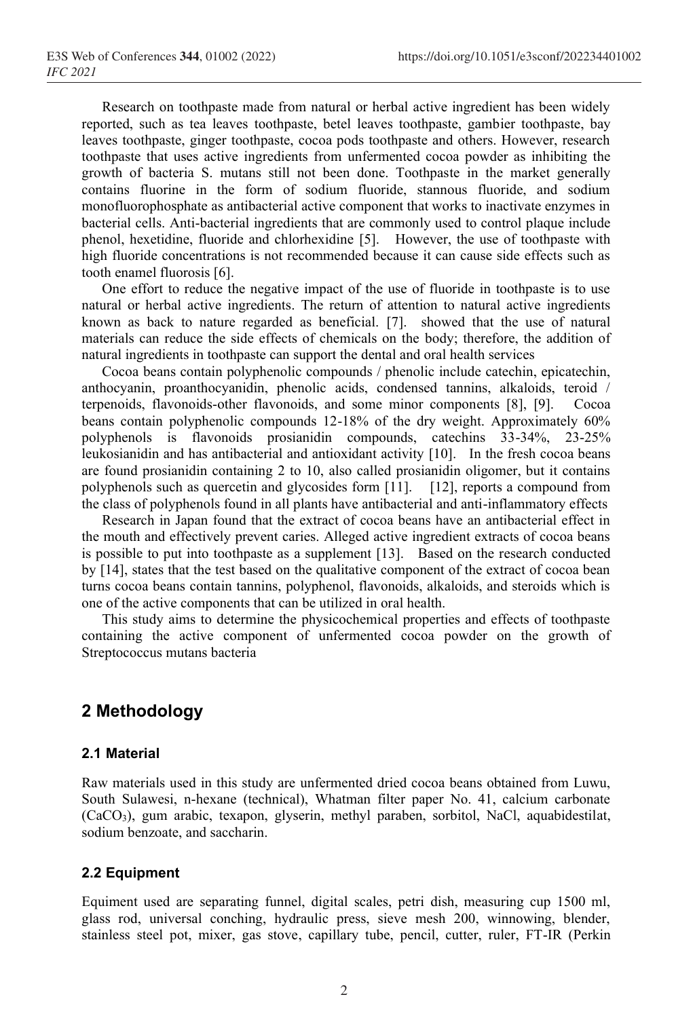Research on toothpaste made from natural or herbal active ingredient has been widely reported, such as tea leaves toothpaste, betel leaves toothpaste, gambier toothpaste, bay leaves toothpaste, ginger toothpaste, cocoa pods toothpaste and others. However, research toothpaste that uses active ingredients from unfermented cocoa powder as inhibiting the growth of bacteria S. mutans still not been done. Toothpaste in the market generally contains fluorine in the form of sodium fluoride, stannous fluoride, and sodium monofluorophosphate as antibacterial active component that works to inactivate enzymes in bacterial cells. Anti-bacterial ingredients that are commonly used to control plaque include phenol, hexetidine, fluoride and chlorhexidine [5]. However, the use of toothpaste with high fluoride concentrations is not recommended because it can cause side effects such as tooth enamel fluorosis [6].

One effort to reduce the negative impact of the use of fluoride in toothpaste is to use natural or herbal active ingredients. The return of attention to natural active ingredients known as back to nature regarded as beneficial. [7]. showed that the use of natural materials can reduce the side effects of chemicals on the body; therefore, the addition of natural ingredients in toothpaste can support the dental and oral health services

Cocoa beans contain polyphenolic compounds / phenolic include catechin, epicatechin, anthocyanin, proanthocyanidin, phenolic acids, condensed tannins, alkaloids, teroid / terpenoids, flavonoids-other flavonoids, and some minor components [8], [9]. Cocoa beans contain polyphenolic compounds 12-18% of the dry weight. Approximately 60% polyphenols is flavonoids prosianidin compounds, catechins 33-34%, 23-25% leukosianidin and has antibacterial and antioxidant activity [10]. In the fresh cocoa beans are found prosianidin containing 2 to 10, also called prosianidin oligomer, but it contains polyphenols such as quercetin and glycosides form [11]. [12], reports a compound from the class of polyphenols found in all plants have antibacterial and anti-inflammatory effects

Research in Japan found that the extract of cocoa beans have an antibacterial effect in the mouth and effectively prevent caries. Alleged active ingredient extracts of cocoa beans is possible to put into toothpaste as a supplement [13]. Based on the research conducted by [14], states that the test based on the qualitative component of the extract of cocoa bean turns cocoa beans contain tannins, polyphenol, flavonoids, alkaloids, and steroids which is one of the active components that can be utilized in oral health.

This study aims to determine the physicochemical properties and effects of toothpaste containing the active component of unfermented cocoa powder on the growth of Streptococcus mutans bacteria

# **2 Methodology**

#### **2.1 Material**

Raw materials used in this study are unfermented dried cocoa beans obtained from Luwu, South Sulawesi, n-hexane (technical), Whatman filter paper No. 41, calcium carbonate (CaCO3), gum arabic, texapon, glyserin, methyl paraben, sorbitol, NaCl, aquabidestilat, sodium benzoate, and saccharin.

#### **2.2 Equipment**

Equiment used are separating funnel, digital scales, petri dish, measuring cup 1500 ml, glass rod, universal conching, hydraulic press, sieve mesh 200, winnowing, blender, stainless steel pot, mixer, gas stove, capillary tube, pencil, cutter, ruler, FT-IR (Perkin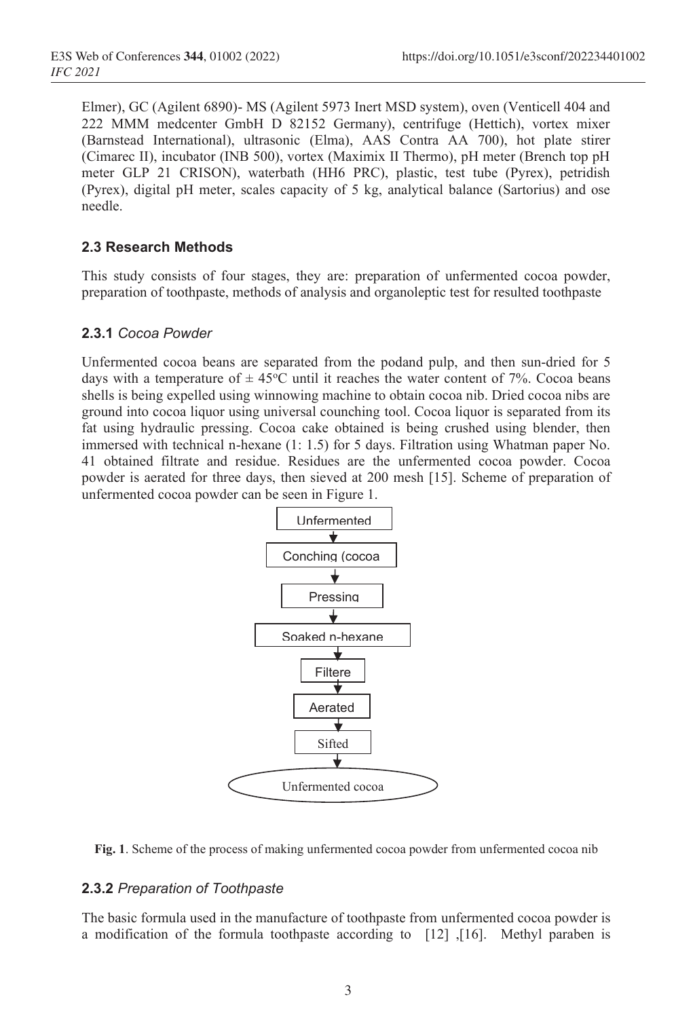Elmer), GC (Agilent 6890)- MS (Agilent 5973 Inert MSD system), oven (Venticell 404 and 222 MMM medcenter GmbH D 82152 Germany), centrifuge (Hettich), vortex mixer (Barnstead International), ultrasonic (Elma), AAS Contra AA 700), hot plate stirer (Cimarec II), incubator (INB 500), vortex (Maximix II Thermo), pH meter (Brench top pH meter GLP 21 CRISON), waterbath (HH6 PRC), plastic, test tube (Pyrex), petridish (Pyrex), digital pH meter, scales capacity of 5 kg, analytical balance (Sartorius) and ose needle.

#### **2.3 Research Methods**

This study consists of four stages, they are: preparation of unfermented cocoa powder, preparation of toothpaste, methods of analysis and organoleptic test for resulted toothpaste

#### **2.3.1** *Cocoa Powder*

Unfermented cocoa beans are separated from the podand pulp, and then sun-dried for 5 days with a temperature of  $\pm 45^{\circ}$ C until it reaches the water content of 7%. Cocoa beans shells is being expelled using winnowing machine to obtain cocoa nib. Dried cocoa nibs are ground into cocoa liquor using universal counching tool. Cocoa liquor is separated from its fat using hydraulic pressing. Cocoa cake obtained is being crushed using blender, then immersed with technical n-hexane (1: 1.5) for 5 days. Filtration using Whatman paper No. 41 obtained filtrate and residue. Residues are the unfermented cocoa powder. Cocoa powder is aerated for three days, then sieved at 200 mesh [15]. Scheme of preparation of unfermented cocoa powder can be seen in Figure 1.



**Fig. 1**. Scheme of the process of making unfermented cocoa powder from unfermented cocoa nib

#### **2.3.2** *Preparation of Toothpaste*

The basic formula used in the manufacture of toothpaste from unfermented cocoa powder is a modification of the formula toothpaste according to [12] ,[16]. Methyl paraben is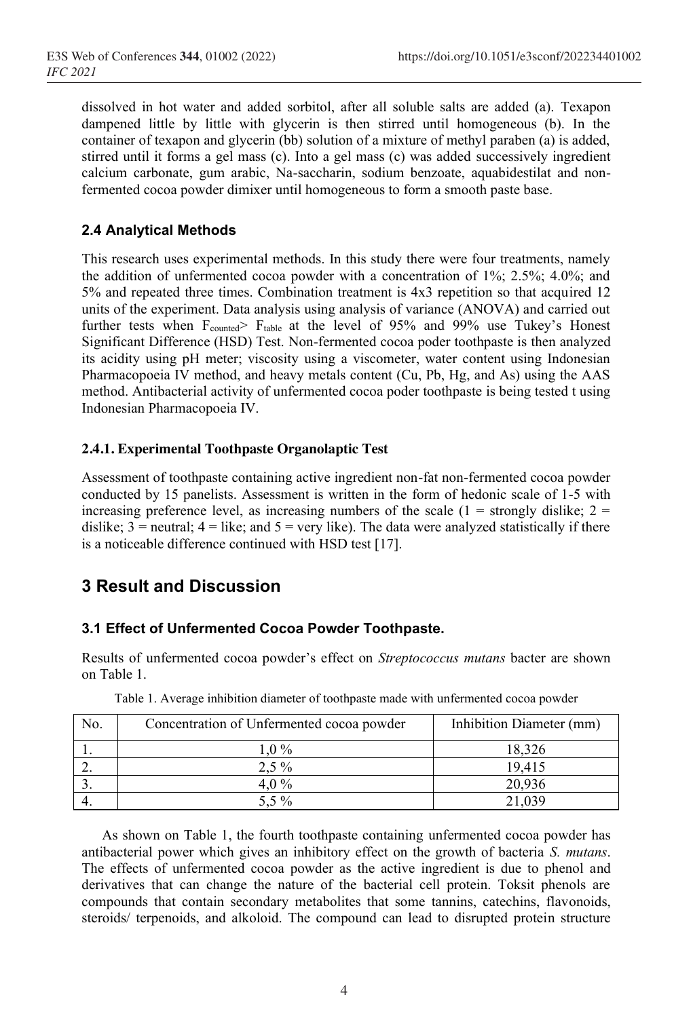dissolved in hot water and added sorbitol, after all soluble salts are added (a). Texapon dampened little by little with glycerin is then stirred until homogeneous (b). In the container of texapon and glycerin (bb) solution of a mixture of methyl paraben (a) is added, stirred until it forms a gel mass (c). Into a gel mass (c) was added successively ingredient calcium carbonate, gum arabic, Na-saccharin, sodium benzoate, aquabidestilat and nonfermented cocoa powder dimixer until homogeneous to form a smooth paste base.

#### **2.4 Analytical Methods**

This research uses experimental methods. In this study there were four treatments, namely the addition of unfermented cocoa powder with a concentration of 1%; 2.5%; 4.0%; and 5% and repeated three times. Combination treatment is 4x3 repetition so that acquired 12 units of the experiment. Data analysis using analysis of variance (ANOVA) and carried out further tests when F<sub>counted</sub>> F<sub>table</sub> at the level of 95% and 99% use Tukey's Honest Significant Difference (HSD) Test. Non-fermented cocoa poder toothpaste is then analyzed its acidity using pH meter; viscosity using a viscometer, water content using Indonesian Pharmacopoeia IV method, and heavy metals content (Cu, Pb, Hg, and As) using the AAS method. Antibacterial activity of unfermented cocoa poder toothpaste is being tested t using Indonesian Pharmacopoeia IV.

#### **2.4.1. Experimental Toothpaste Organolaptic Test**

Assessment of toothpaste containing active ingredient non-fat non-fermented cocoa powder conducted by 15 panelists. Assessment is written in the form of hedonic scale of 1-5 with increasing preference level, as increasing numbers of the scale  $(1 =$  strongly dislike;  $2 =$ dislike;  $3$  = neutral;  $4$  = like; and  $5$  = very like). The data were analyzed statistically if there is a noticeable difference continued with HSD test [17].

# **3 Result and Discussion**

## **3.1 Effect of Unfermented Cocoa Powder Toothpaste.**

Results of unfermented cocoa powder's effect on *Streptococcus mutans* bacter are shown on Table 1.

| No. | Concentration of Unfermented cocoa powder | Inhibition Diameter (mm) |
|-----|-------------------------------------------|--------------------------|
|     | $1.0\,\%$                                 | 18,326                   |
|     | $2,5\%$                                   | 19,415                   |
|     | $4.0\%$                                   | 20,936                   |
|     | $5.5\%$                                   |                          |

|  |  | Table 1. Average inhibition diameter of toothpaste made with unfermented cocoa powder |
|--|--|---------------------------------------------------------------------------------------|

As shown on Table 1, the fourth toothpaste containing unfermented cocoa powder has antibacterial power which gives an inhibitory effect on the growth of bacteria *S. mutans*. The effects of unfermented cocoa powder as the active ingredient is due to phenol and derivatives that can change the nature of the bacterial cell protein. Toksit phenols are compounds that contain secondary metabolites that some tannins, catechins, flavonoids, steroids/ terpenoids, and alkoloid. The compound can lead to disrupted protein structure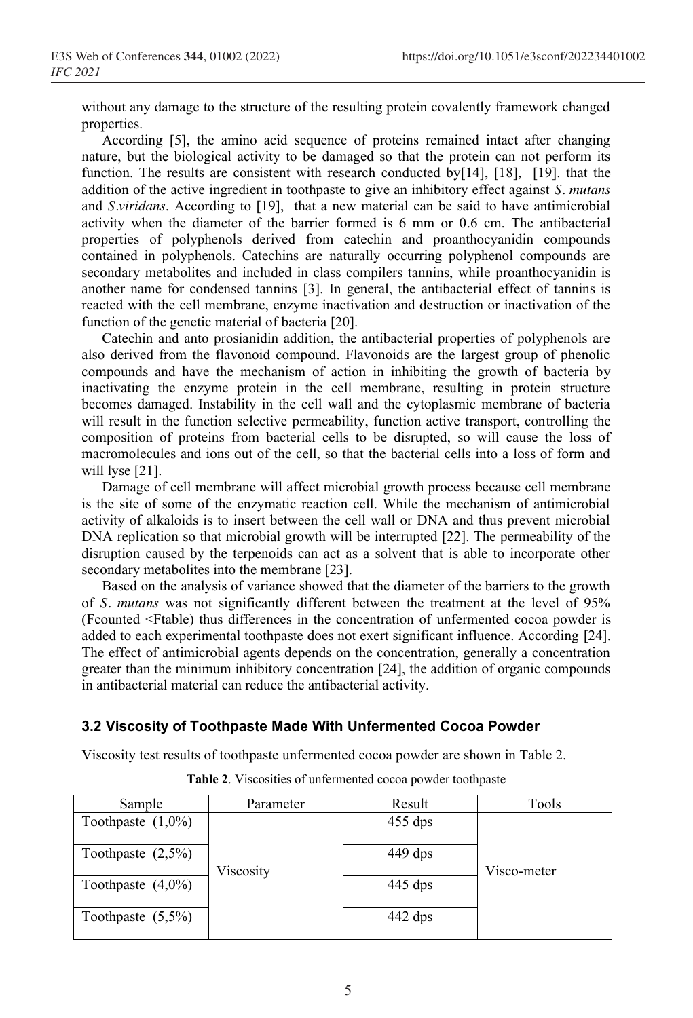without any damage to the structure of the resulting protein covalently framework changed properties.

According [5], the amino acid sequence of proteins remained intact after changing nature, but the biological activity to be damaged so that the protein can not perform its function. The results are consistent with research conducted by[14], [18], [19]. that the addition of the active ingredient in toothpaste to give an inhibitory effect against *S. mutans* and *S.viridans*. According to [19], that a new material can be said to have antimicrobial activity when the diameter of the barrier formed is 6 mm or 0.6 cm. The antibacterial properties of polyphenols derived from catechin and proanthocyanidin compounds contained in polyphenols. Catechins are naturally occurring polyphenol compounds are secondary metabolites and included in class compilers tannins, while proanthocyanidin is another name for condensed tannins [3]. In general, the antibacterial effect of tannins is reacted with the cell membrane, enzyme inactivation and destruction or inactivation of the function of the genetic material of bacteria [20].

Catechin and anto prosianidin addition, the antibacterial properties of polyphenols are also derived from the flavonoid compound. Flavonoids are the largest group of phenolic compounds and have the mechanism of action in inhibiting the growth of bacteria by inactivating the enzyme protein in the cell membrane, resulting in protein structure becomes damaged. Instability in the cell wall and the cytoplasmic membrane of bacteria will result in the function selective permeability, function active transport, controlling the composition of proteins from bacterial cells to be disrupted, so will cause the loss of macromolecules and ions out of the cell, so that the bacterial cells into a loss of form and will lyse [21].

Damage of cell membrane will affect microbial growth process because cell membrane is the site of some of the enzymatic reaction cell. While the mechanism of antimicrobial activity of alkaloids is to insert between the cell wall or DNA and thus prevent microbial DNA replication so that microbial growth will be interrupted [22]. The permeability of the disruption caused by the terpenoids can act as a solvent that is able to incorporate other secondary metabolites into the membrane [23].

Based on the analysis of variance showed that the diameter of the barriers to the growth of *S. mutans* was not significantly different between the treatment at the level of 95% (Fcounted <Ftable) thus differences in the concentration of unfermented cocoa powder is added to each experimental toothpaste does not exert significant influence. According [24]. The effect of antimicrobial agents depends on the concentration, generally a concentration greater than the minimum inhibitory concentration [24], the addition of organic compounds in antibacterial material can reduce the antibacterial activity.

#### **3.2 Viscosity of Toothpaste Made With Unfermented Cocoa Powder**

Viscosity test results of toothpaste unfermented cocoa powder are shown in Table 2.

| Sample               | Parameter | Result    | Tools       |
|----------------------|-----------|-----------|-------------|
| Toothpaste $(1,0\%)$ |           | $455$ dps |             |
| Toothpaste $(2,5\%)$ | Viscosity | $449$ dps | Visco-meter |
| Toothpaste $(4,0\%)$ |           | $445$ dps |             |
| Toothpaste $(5,5\%)$ |           | $442$ dps |             |

**Table 2**. Viscosities of unfermented cocoa powder toothpaste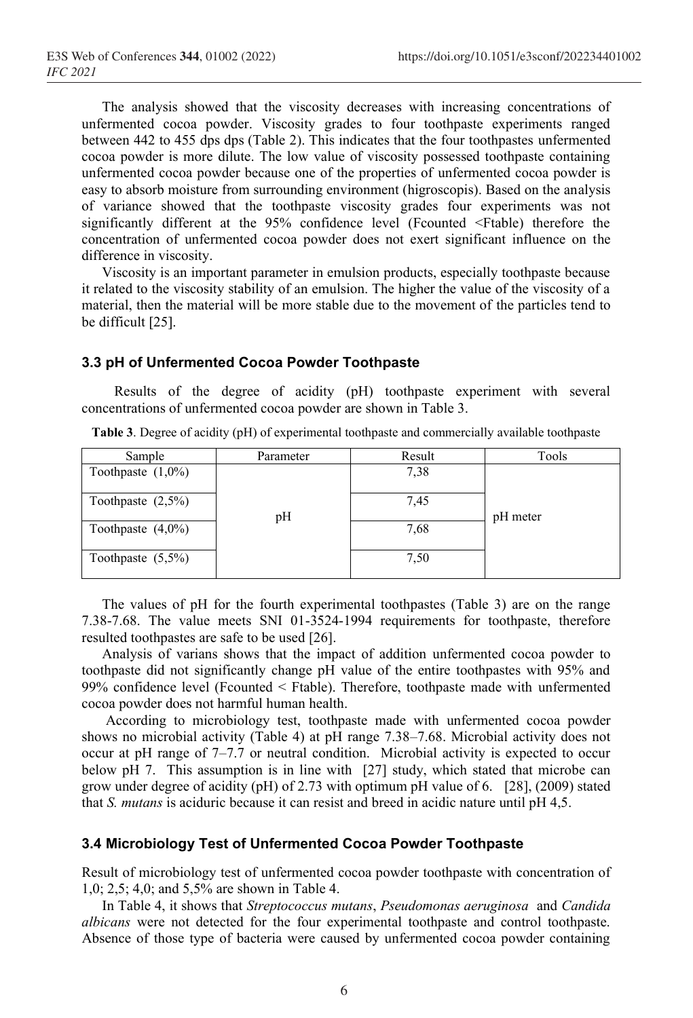The analysis showed that the viscosity decreases with increasing concentrations of unfermented cocoa powder. Viscosity grades to four toothpaste experiments ranged between 442 to 455 dps dps (Table 2). This indicates that the four toothpastes unfermented cocoa powder is more dilute. The low value of viscosity possessed toothpaste containing unfermented cocoa powder because one of the properties of unfermented cocoa powder is easy to absorb moisture from surrounding environment (higroscopis). Based on the analysis of variance showed that the toothpaste viscosity grades four experiments was not significantly different at the 95% confidence level (Fcounted <Ftable) therefore the concentration of unfermented cocoa powder does not exert significant influence on the difference in viscosity.

Viscosity is an important parameter in emulsion products, especially toothpaste because it related to the viscosity stability of an emulsion. The higher the value of the viscosity of a material, then the material will be more stable due to the movement of the particles tend to be difficult [25].

#### **3.3 pH of Unfermented Cocoa Powder Toothpaste**

Results of the degree of acidity (pH) toothpaste experiment with several concentrations of unfermented cocoa powder are shown in Table 3.

| Sample               | Parameter | Result | Tools    |
|----------------------|-----------|--------|----------|
| Toothpaste $(1,0\%)$ |           | 7,38   |          |
| Toothpaste $(2,5\%)$ | pH        | 7.45   | pH meter |
| Toothpaste $(4,0\%)$ |           | 7,68   |          |
| Toothpaste $(5,5\%)$ |           | 7,50   |          |

**Table 3**. Degree of acidity (pH) of experimental toothpaste and commercially available toothpaste

The values of pH for the fourth experimental toothpastes (Table 3) are on the range 7.38-7.68. The value meets SNI 01-3524-1994 requirements for toothpaste, therefore resulted toothpastes are safe to be used [26].

Analysis of varians shows that the impact of addition unfermented cocoa powder to toothpaste did not significantly change pH value of the entire toothpastes with 95% and 99% confidence level (Fcounted < Ftable). Therefore, toothpaste made with unfermented cocoa powder does not harmful human health.

According to microbiology test, toothpaste made with unfermented cocoa powder shows no microbial activity (Table 4) at pH range 7.38–7.68. Microbial activity does not occur at pH range of 7–7.7 or neutral condition. Microbial activity is expected to occur below pH 7. This assumption is in line with [27] study, which stated that microbe can grow under degree of acidity (pH) of 2.73 with optimum pH value of 6. [28], (2009) stated that *S. mutans* is aciduric because it can resist and breed in acidic nature until pH 4,5.

#### **3.4 Microbiology Test of Unfermented Cocoa Powder Toothpaste**

Result of microbiology test of unfermented cocoa powder toothpaste with concentration of 1,0; 2,5; 4,0; and 5,5% are shown in Table 4.

In Table 4, it shows that *Streptococcus mutans*, *Pseudomonas aeruginosa* and *Candida albicans* were not detected for the four experimental toothpaste and control toothpaste. Absence of those type of bacteria were caused by unfermented cocoa powder containing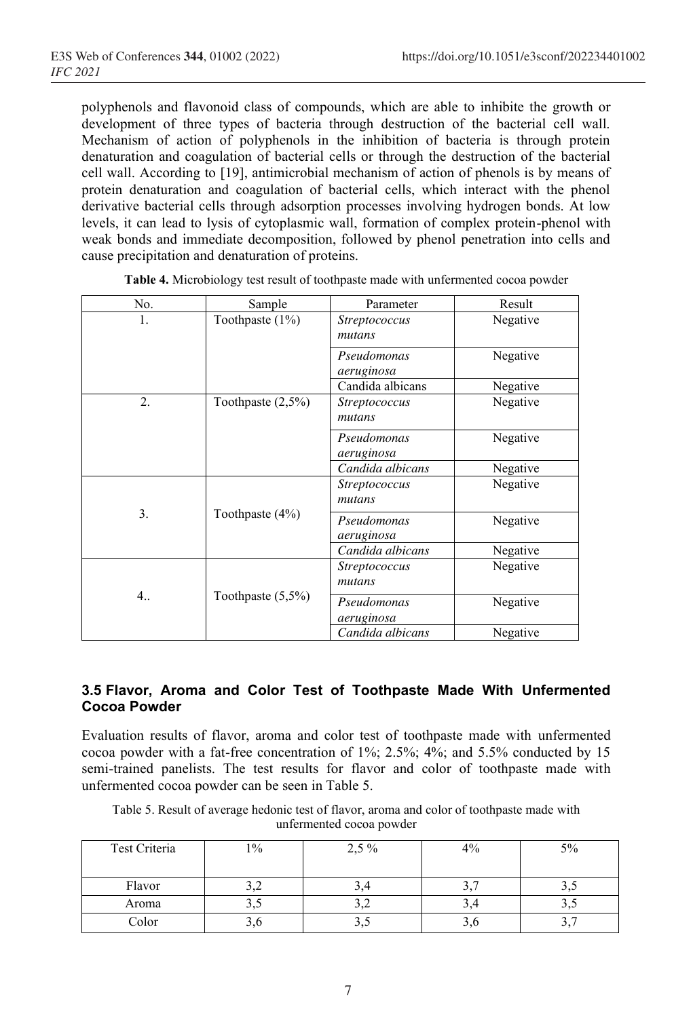polyphenols and flavonoid class of compounds, which are able to inhibite the growth or development of three types of bacteria through destruction of the bacterial cell wall. Mechanism of action of polyphenols in the inhibition of bacteria is through protein denaturation and coagulation of bacterial cells or through the destruction of the bacterial cell wall. According to [19], antimicrobial mechanism of action of phenols is by means of protein denaturation and coagulation of bacterial cells, which interact with the phenol derivative bacterial cells through adsorption processes involving hydrogen bonds. At low levels, it can lead to lysis of cytoplasmic wall, formation of complex protein-phenol with weak bonds and immediate decomposition, followed by phenol penetration into cells and cause precipitation and denaturation of proteins.

| No. | Sample                                              | Parameter                      | Result   |
|-----|-----------------------------------------------------|--------------------------------|----------|
| 1.  | Toothpaste (1%)                                     | Streptococcus<br>mutans        | Negative |
|     |                                                     | Pseudomonas<br>aeruginosa      | Negative |
|     |                                                     | Candida albicans               | Negative |
| 2.  | Toothpaste (2,5%)<br><i>Streptococcus</i><br>mutans |                                | Negative |
|     |                                                     | Pseudomonas<br>aeruginosa      | Negative |
|     |                                                     | Candida albicans               | Negative |
|     |                                                     | <i>Streptococcus</i><br>mutans | Negative |
| 3.  | Toothpaste (4%)                                     | Pseudomonas<br>aeruginosa      | Negative |
|     |                                                     | Candida albicans               | Negative |
|     |                                                     | <i>Streptococcus</i><br>mutans | Negative |
|     | Toothpaste (5,5%)<br>4                              |                                | Negative |
|     |                                                     | Candida albicans               | Negative |

**Table 4.** Microbiology test result of toothpaste made with unfermented cocoa powder

#### **3.5 Flavor, Aroma and Color Test of Toothpaste Made With Unfermented Cocoa Powder**

Evaluation results of flavor, aroma and color test of toothpaste made with unfermented cocoa powder with a fat-free concentration of 1%; 2.5%; 4%; and 5.5% conducted by 15 semi-trained panelists. The test results for flavor and color of toothpaste made with unfermented cocoa powder can be seen in Table 5.

Table 5. Result of average hedonic test of flavor, aroma and color of toothpaste made with unfermented cocoa powder

| Test Criteria | $1\%$ | $2,5\%$ | 4%  | 5% |
|---------------|-------|---------|-----|----|
|               |       |         |     |    |
| Flavor        | ے و   |         |     |    |
| Aroma         | 3.3   |         |     |    |
| Color         | J,U   |         | J,U |    |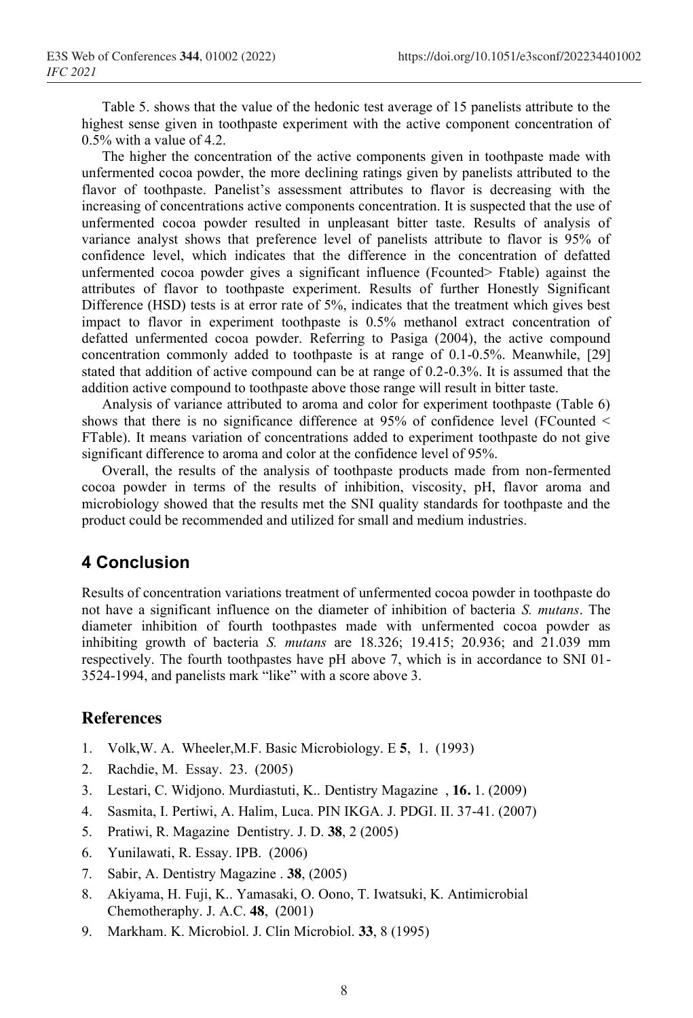Table 5. shows that the value of the hedonic test average of 15 panelists attribute to the highest sense given in toothpaste experiment with the active component concentration of  $0.5\%$  with a value of 4.2.

The higher the concentration of the active components given in toothpaste made with unfermented cocoa powder, the more declining ratings given by panelists attributed to the flavor of toothpaste. Panelist's assessment attributes to flavor is decreasing with the increasing of concentrations active components concentration. It is suspected that the use of unfermented cocoa powder resulted in unpleasant bitter taste. Results of analysis of variance analyst shows that preference level of panelists attribute to flavor is 95% of confidence level, which indicates that the difference in the concentration of defatted unfermented cocoa powder gives a significant influence (Fcounted> Ftable) against the attributes of flavor to toothpaste experiment. Results of further Honestly Significant Difference (HSD) tests is at error rate of 5%, indicates that the treatment which gives best impact to flavor in experiment toothpaste is 0.5% methanol extract concentration of defatted unfermented cocoa powder. Referring to Pasiga (2004), the active compound concentration commonly added to toothpaste is at range of 0.1-0.5%. Meanwhile, [29] stated that addition of active compound can be at range of 0.2-0.3%. It is assumed that the addition active compound to toothpaste above those range will result in bitter taste.

Analysis of variance attributed to aroma and color for experiment toothpaste (Table 6) shows that there is no significance difference at 95% of confidence level (FCounted < FTable). It means variation of concentrations added to experiment toothpaste do not give significant difference to aroma and color at the confidence level of 95%.

Overall, the results of the analysis of toothpaste products made from non-fermented cocoa powder in terms of the results of inhibition, viscosity, pH, flavor aroma and microbiology showed that the results met the SNI quality standards for toothpaste and the product could be recommended and utilized for small and medium industries.

# **4 Conclusion**

Results of concentration variations treatment of unfermented cocoa powder in toothpaste do not have a significant influence on the diameter of inhibition of bacteria *S. mutans*. The diameter inhibition of fourth toothpastes made with unfermented cocoa powder as inhibiting growth of bacteria *S. mutans* are 18.326; 19.415; 20.936; and 21.039 mm respectively. The fourth toothpastes have pH above 7, which is in accordance to SNI 01- 3524-1994, and panelists mark "like" with a score above 3.

## **References**

- 1. Volk,W. A. Wheeler,M.F. Basic Microbiology. E **5**, 1. (1993)
- 2. Rachdie, M. Essay. 23. (2005)
- 3. Lestari, C. Widjono. Murdiastuti, K.. Dentistry Magazine , **16.** 1. (2009)
- 4. Sasmita, I. Pertiwi, A. Halim, Luca. PIN IKGA. J. PDGI. II. 37-41. (2007)
- 5. Pratiwi, R. Magazine Dentistry. J. D. **38**, 2 (2005)
- 6. Yunilawati, R. Essay. IPB. (2006)
- 7. Sabir, A. Dentistry Magazine . **38**, (2005)
- 8. Akiyama, H. Fuji, K.. Yamasaki, O. Oono, T. Iwatsuki, K. Antimicrobial Chemotheraphy. J. A.C. **48**, (2001)
- 9. Markham. K. Microbiol. J. Clin Microbiol. **33**, 8 (1995)